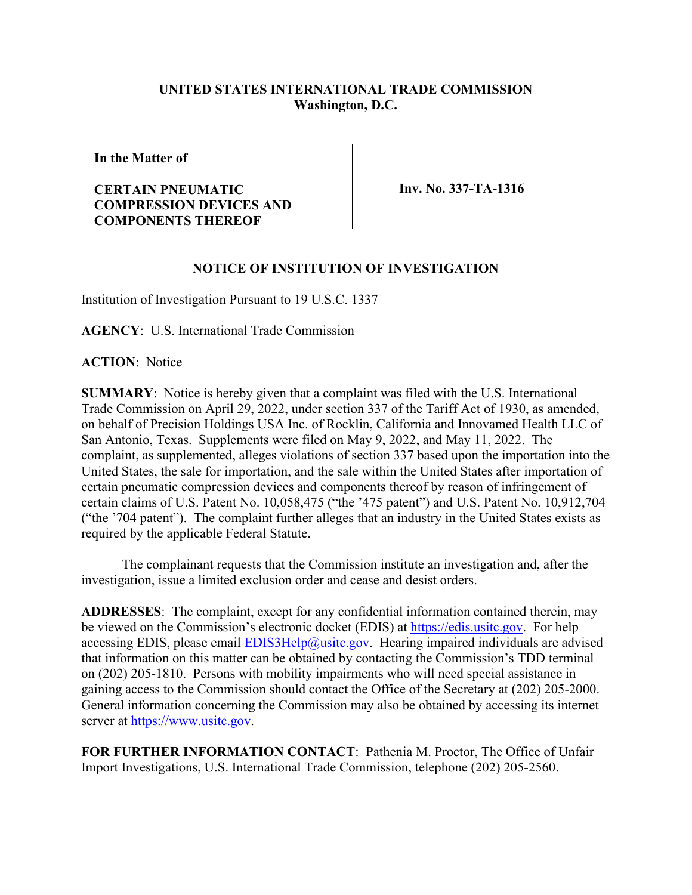### **UNITED STATES INTERNATIONAL TRADE COMMISSION Washington, D.C.**

**In the Matter of**

#### **CERTAIN PNEUMATIC COMPRESSION DEVICES AND COMPONENTS THEREOF**

**Inv. No. 337-TA-1316**

#### **NOTICE OF INSTITUTION OF INVESTIGATION**

Institution of Investigation Pursuant to 19 U.S.C. 1337

**AGENCY**: U.S. International Trade Commission

**ACTION**: Notice

**SUMMARY**: Notice is hereby given that a complaint was filed with the U.S. International Trade Commission on April 29, 2022, under section 337 of the Tariff Act of 1930, as amended, on behalf of Precision Holdings USA Inc. of Rocklin, California and Innovamed Health LLC of San Antonio, Texas. Supplements were filed on May 9, 2022, and May 11, 2022. The complaint, as supplemented, alleges violations of section 337 based upon the importation into the United States, the sale for importation, and the sale within the United States after importation of certain pneumatic compression devices and components thereof by reason of infringement of certain claims of U.S. Patent No. 10,058,475 ("the '475 patent") and U.S. Patent No. 10,912,704 ("the '704 patent"). The complaint further alleges that an industry in the United States exists as required by the applicable Federal Statute.

 The complainant requests that the Commission institute an investigation and, after the investigation, issue a limited exclusion order and cease and desist orders.

**ADDRESSES**: The complaint, except for any confidential information contained therein, may be viewed on the Commission's electronic docket (EDIS) at [https://edis.usitc.gov.](https://edis.usitc.gov/) For help accessing EDIS, please email **EDIS3Help@usitc.gov**. Hearing impaired individuals are advised that information on this matter can be obtained by contacting the Commission's TDD terminal on (202) 205-1810. Persons with mobility impairments who will need special assistance in gaining access to the Commission should contact the Office of the Secretary at (202) 205-2000. General information concerning the Commission may also be obtained by accessing its internet server at [https://www.usitc.gov.](https://www.usitc.gov/)

**FOR FURTHER INFORMATION CONTACT**: Pathenia M. Proctor, The Office of Unfair Import Investigations, U.S. International Trade Commission, telephone (202) 205-2560.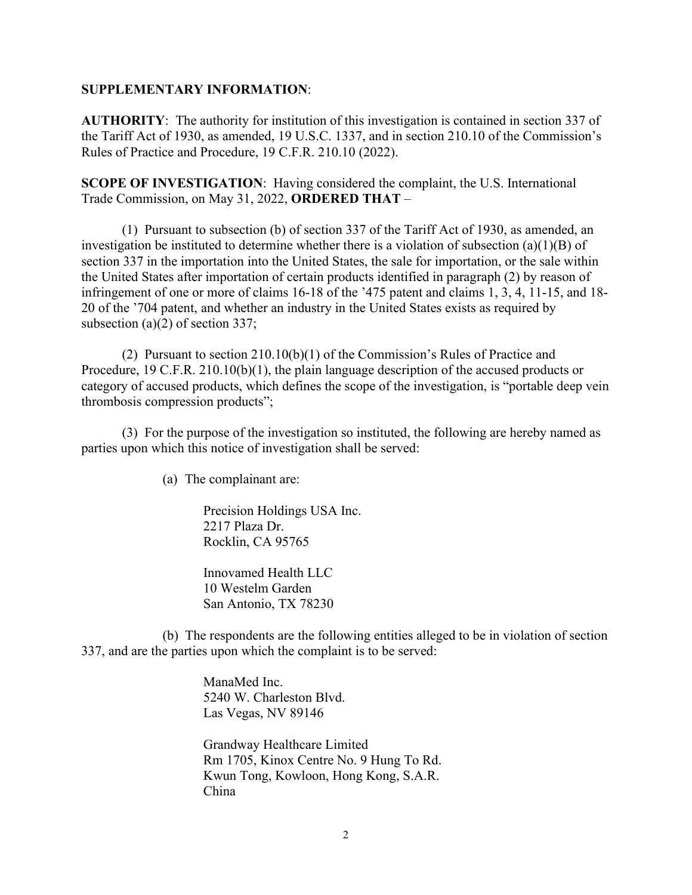#### **SUPPLEMENTARY INFORMATION**:

**AUTHORITY**: The authority for institution of this investigation is contained in section 337 of the Tariff Act of 1930, as amended, 19 U.S.C. 1337, and in section 210.10 of the Commission's Rules of Practice and Procedure, 19 C.F.R. 210.10 (2022).

**SCOPE OF INVESTIGATION**: Having considered the complaint, the U.S. International Trade Commission, on May 31, 2022, **ORDERED THAT** –

(1) Pursuant to subsection (b) of section 337 of the Tariff Act of 1930, as amended, an investigation be instituted to determine whether there is a violation of subsection (a)(1)(B) of section 337 in the importation into the United States, the sale for importation, or the sale within the United States after importation of certain products identified in paragraph (2) by reason of infringement of one or more of claims 16-18 of the '475 patent and claims 1, 3, 4, 11-15, and 18- 20 of the '704 patent, and whether an industry in the United States exists as required by subsection (a)(2) of section 337;

(2) Pursuant to section 210.10(b)(1) of the Commission's Rules of Practice and Procedure, 19 C.F.R. 210.10(b)(1), the plain language description of the accused products or category of accused products, which defines the scope of the investigation, is "portable deep vein thrombosis compression products";

(3) For the purpose of the investigation so instituted, the following are hereby named as parties upon which this notice of investigation shall be served:

(a) The complainant are:

Precision Holdings USA Inc. 2217 Plaza Dr. Rocklin, CA 95765

Innovamed Health LLC 10 Westelm Garden San Antonio, TX 78230

(b) The respondents are the following entities alleged to be in violation of section 337, and are the parties upon which the complaint is to be served:

> ManaMed Inc. 5240 W. Charleston Blvd. Las Vegas, NV 89146

Grandway Healthcare Limited Rm 1705, Kinox Centre No. 9 Hung To Rd. Kwun Tong, Kowloon, Hong Kong, S.A.R. China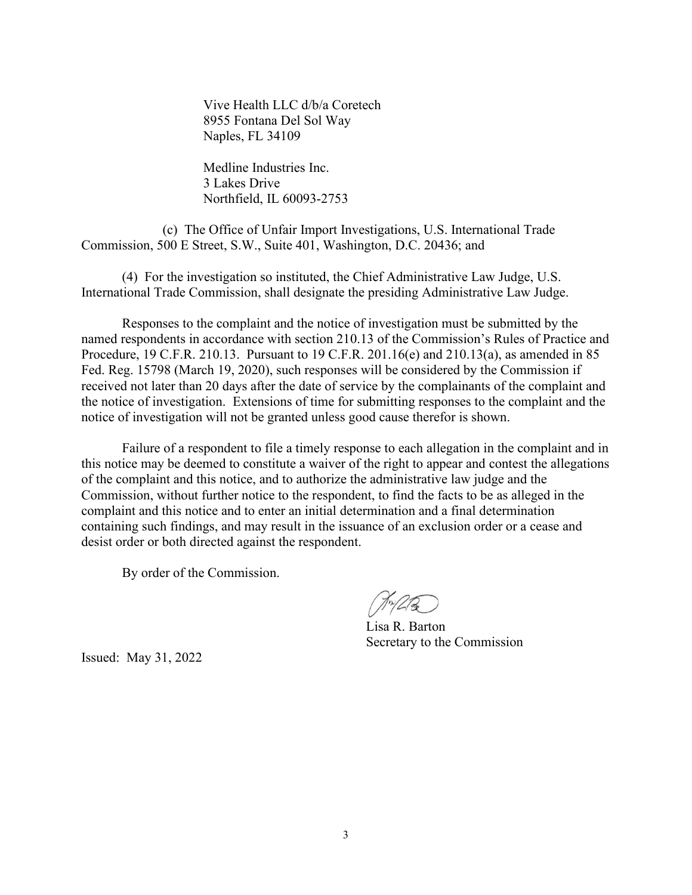Vive Health LLC d/b/a Coretech 8955 Fontana Del Sol Way Naples, FL 34109

Medline Industries Inc. 3 Lakes Drive Northfield, IL 60093-2753

(c) The Office of Unfair Import Investigations, U.S. International Trade Commission, 500 E Street, S.W., Suite 401, Washington, D.C. 20436; and

(4) For the investigation so instituted, the Chief Administrative Law Judge, U.S. International Trade Commission, shall designate the presiding Administrative Law Judge.

Responses to the complaint and the notice of investigation must be submitted by the named respondents in accordance with section 210.13 of the Commission's Rules of Practice and Procedure, 19 C.F.R. 210.13. Pursuant to 19 C.F.R. 201.16(e) and 210.13(a), as amended in 85 Fed. Reg. 15798 (March 19, 2020), such responses will be considered by the Commission if received not later than 20 days after the date of service by the complainants of the complaint and the notice of investigation. Extensions of time for submitting responses to the complaint and the notice of investigation will not be granted unless good cause therefor is shown.

Failure of a respondent to file a timely response to each allegation in the complaint and in this notice may be deemed to constitute a waiver of the right to appear and contest the allegations of the complaint and this notice, and to authorize the administrative law judge and the Commission, without further notice to the respondent, to find the facts to be as alleged in the complaint and this notice and to enter an initial determination and a final determination containing such findings, and may result in the issuance of an exclusion order or a cease and desist order or both directed against the respondent.

By order of the Commission.

 $\sqrt{\pi/2}$ 

Lisa R. Barton Secretary to the Commission

Issued: May 31, 2022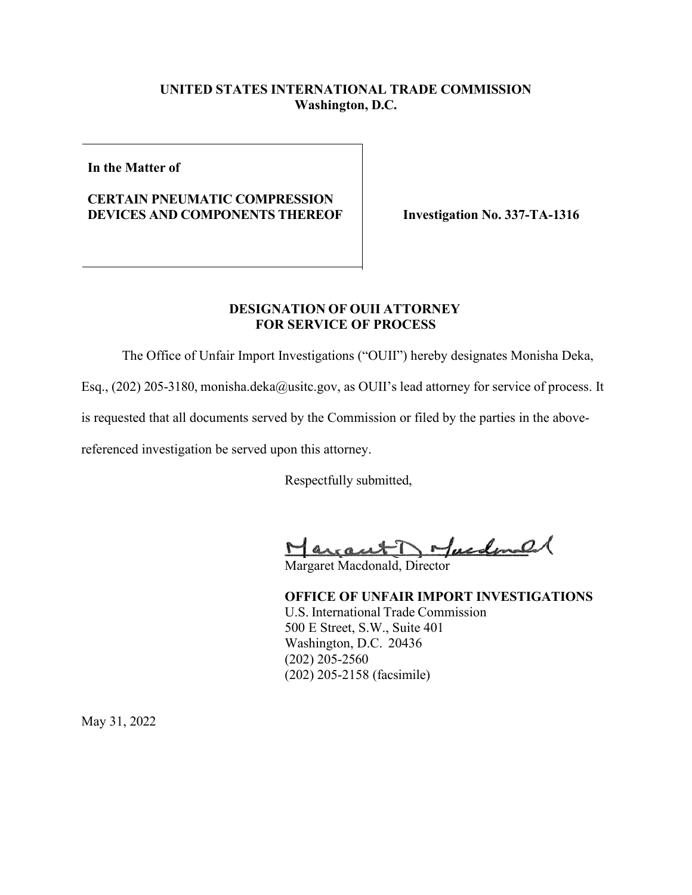### **UNITED STATES INTERNATIONAL TRADE COMMISSION Washington, D.C.**

**In the Matter of**

### **CERTAIN PNEUMATIC COMPRESSION DEVICES AND COMPONENTS THEREOF Investigation No. 337-TA-1316**

#### **DESIGNATION OF OUII ATTORNEY FOR SERVICE OF PROCESS**

The Office of Unfair Import Investigations ("OUII") hereby designates Monisha Deka,

Esq., (202) 205-3180, monisha.deka@usitc.gov, as OUII's lead attorney for service of process. It

is requested that all documents served by the Commission or filed by the parties in the above-

referenced investigation be served upon this attorney.

Respectfully submitted,

Margaret Dofundanal

Margaret Macdonald, Director

**OFFICE OF UNFAIR IMPORT INVESTIGATIONS** U.S. International Trade Commission 500 E Street, S.W., Suite 401 Washington, D.C. 20436 (202) 205-2560 (202) 205-2158 (facsimile)

May 31, 2022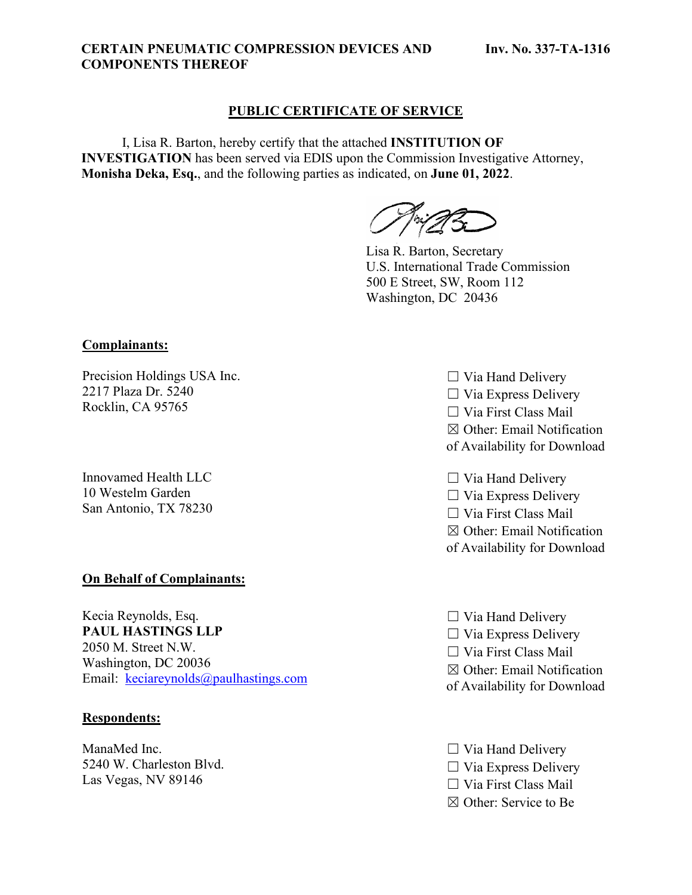#### **CERTAIN PNEUMATIC COMPRESSION DEVICES AND COMPONENTS THEREOF**

#### **PUBLIC CERTIFICATE OF SERVICE**

I, Lisa R. Barton, hereby certify that the attached **INSTITUTION OF INVESTIGATION** has been served via EDIS upon the Commission Investigative Attorney, **Monisha Deka, Esq.**, and the following parties as indicated, on **June 01, 2022**.

Lisa R. Barton, Secretary U.S. International Trade Commission 500 E Street, SW, Room 112 Washington, DC 20436

**Complainants:**

Precision Holdings USA Inc. 2217 Plaza Dr. 5240 Rocklin, CA 95765

Innovamed Health LLC 10 Westelm Garden San Antonio, TX 78230

#### **On Behalf of Complainants:**

Kecia Reynolds, Esq. **PAUL HASTINGS LLP** 2050 M. Street N.W. Washington, DC 20036 Email: [keciareynolds@paulhastings.com](mailto:keciareynolds@paulhastings.com)

#### **Respondents:**

ManaMed Inc. 5240 W. Charleston Blvd. Las Vegas, NV 89146

 $\Box$  Via Hand Delivery  $\Box$  Via Express Delivery ☐ Via First Class Mail ☒ Other: Email Notification of Availability for Download

 $\Box$  Via Hand Delivery  $\Box$  Via Express Delivery ☐ Via First Class Mail ☒ Other: Email Notification of Availability for Download

- $\Box$  Via Hand Delivery  $\Box$  Via Express Delivery ☐ Via First Class Mail  $\boxtimes$  Other: Email Notification of Availability for Download
- $\Box$  Via Hand Delivery  $\Box$  Via Express Delivery ☐ Via First Class Mail ☒ Other: Service to Be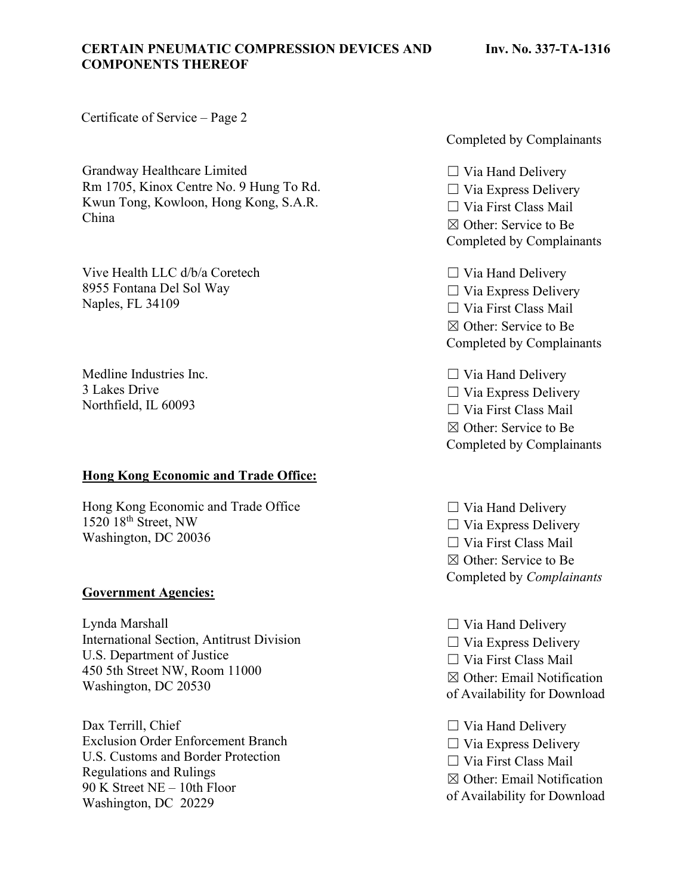#### **CERTAIN PNEUMATIC COMPRESSION DEVICES AND COMPONENTS THEREOF**

Certificate of Service – Page 2

Grandway Healthcare Limited Rm 1705, Kinox Centre No. 9 Hung To Rd. Kwun Tong, Kowloon, Hong Kong, S.A.R. China

Vive Health LLC d/b/a Coretech 8955 Fontana Del Sol Way Naples, FL 34109

Medline Industries Inc. 3 Lakes Drive Northfield, IL 60093

#### **Hong Kong Economic and Trade Office:**

Hong Kong Economic and Trade Office  $1520$   $18<sup>th</sup>$  Street, NW Washington, DC 20036

#### **Government Agencies:**

Lynda Marshall International Section, Antitrust Division U.S. Department of Justice 450 5th Street NW, Room 11000 Washington, DC 20530

Dax Terrill, Chief Exclusion Order Enforcement Branch U.S. Customs and Border Protection Regulations and Rulings 90 K Street NE – 10th Floor Washington, DC 20229

Completed by Complainants

 $\Box$  Via Hand Delivery  $\Box$  Via Express Delivery ☐ Via First Class Mail ☒ Other: Service to Be Completed by Complainants

 $\Box$  Via Hand Delivery ☐ Via Express Delivery ☐ Via First Class Mail ☒ Other: Service to Be Completed by Complainants

 $\Box$  Via Hand Delivery  $\Box$  Via Express Delivery ☐ Via First Class Mail ☒ Other: Service to Be Completed by Complainants

 $\Box$  Via Hand Delivery  $\Box$  Via Express Delivery ☐ Via First Class Mail ☒ Other: Service to Be Completed by *Complainants*

- $\Box$  Via Hand Delivery
- $\Box$  Via Express Delivery
- ☐ Via First Class Mail
- ☒ Other: Email Notification
- of Availability for Download
- $\Box$  Via Hand Delivery
- $\Box$  Via Express Delivery
- ☐ Via First Class Mail
- ☒ Other: Email Notification
- of Availability for Download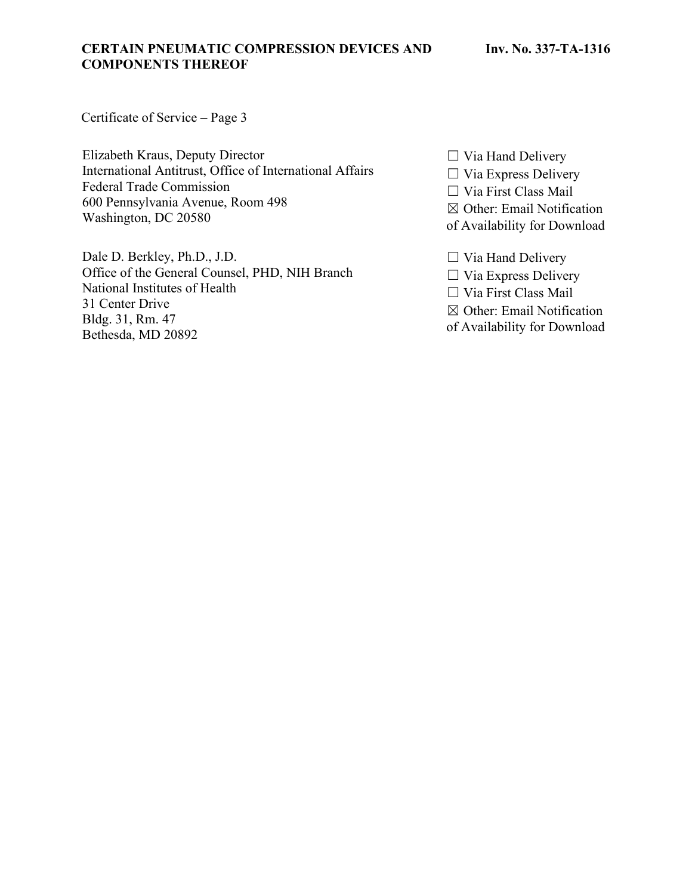#### **CERTAIN PNEUMATIC COMPRESSION DEVICES AND COMPONENTS THEREOF**

Certificate of Service – Page 3

Elizabeth Kraus, Deputy Director International Antitrust, Office of International Affairs Federal Trade Commission 600 Pennsylvania Avenue, Room 498 Washington, DC 20580

Dale D. Berkley, Ph.D., J.D. Office of the General Counsel, PHD, NIH Branch National Institutes of Health 31 Center Drive Bldg. 31, Rm. 47 Bethesda, MD 20892

☐ Via Hand Delivery

☐ Via Express Delivery

☐ Via First Class Mail

☒ Other: Email Notification

of Availability for Download

☐ Via Hand Delivery

☐ Via Express Delivery

☐ Via First Class Mail

☒ Other: Email Notification

of Availability for Download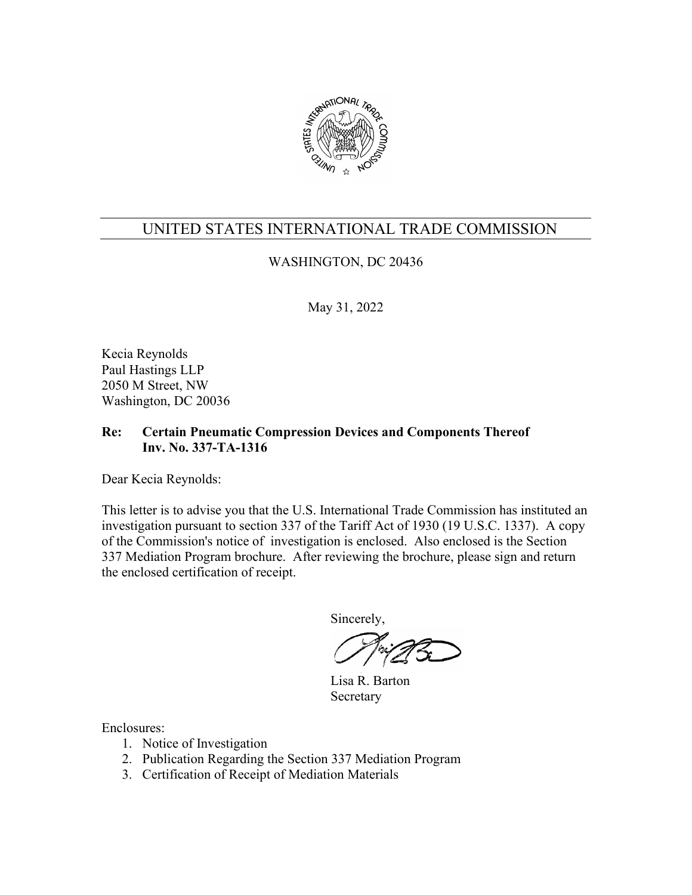

## WASHINGTON, DC 20436

May 31, 2022

Kecia Reynolds Paul Hastings LLP 2050 M Street, NW Washington, DC 20036

### **Re: Certain Pneumatic Compression Devices and Components Thereof Inv. No. 337-TA-1316**

Dear Kecia Reynolds:

This letter is to advise you that the U.S. International Trade Commission has instituted an investigation pursuant to section 337 of the Tariff Act of 1930 (19 U.S.C. 1337). A copy of the Commission's notice of investigation is enclosed. Also enclosed is the Section 337 Mediation Program brochure. After reviewing the brochure, please sign and return the enclosed certification of receipt.

Sincerely,

 Lisa R. Barton Secretary

- 1. Notice of Investigation
- 2. Publication Regarding the Section 337 Mediation Program
- 3. Certification of Receipt of Mediation Materials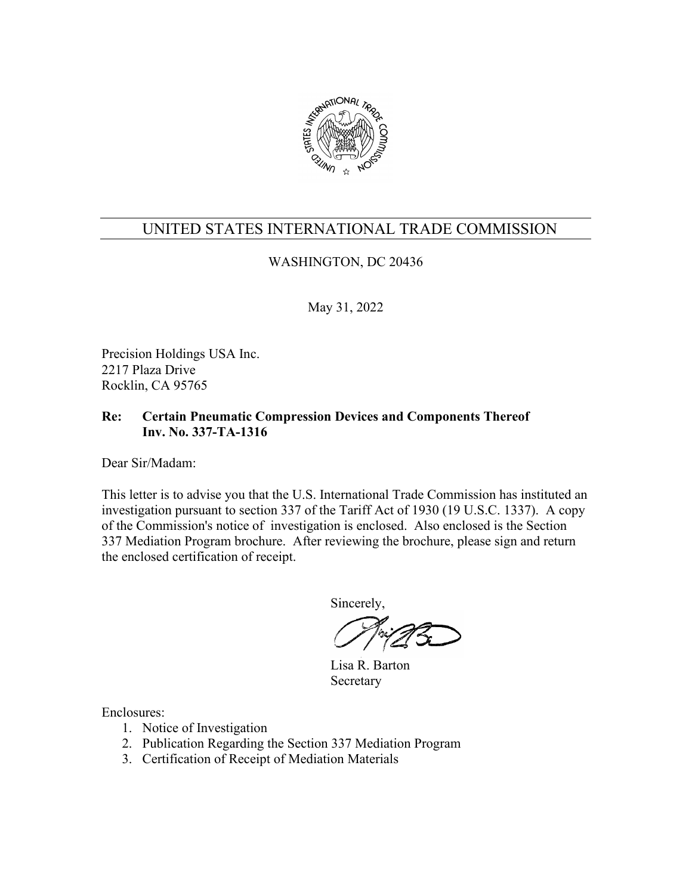

## WASHINGTON, DC 20436

May 31, 2022

Precision Holdings USA Inc. 2217 Plaza Drive Rocklin, CA 95765

### **Re: Certain Pneumatic Compression Devices and Components Thereof Inv. No. 337-TA-1316**

Dear Sir/Madam:

This letter is to advise you that the U.S. International Trade Commission has instituted an investigation pursuant to section 337 of the Tariff Act of 1930 (19 U.S.C. 1337). A copy of the Commission's notice of investigation is enclosed. Also enclosed is the Section 337 Mediation Program brochure. After reviewing the brochure, please sign and return the enclosed certification of receipt.

Sincerely,

 Lisa R. Barton Secretary

- 1. Notice of Investigation
- 2. Publication Regarding the Section 337 Mediation Program
- 3. Certification of Receipt of Mediation Materials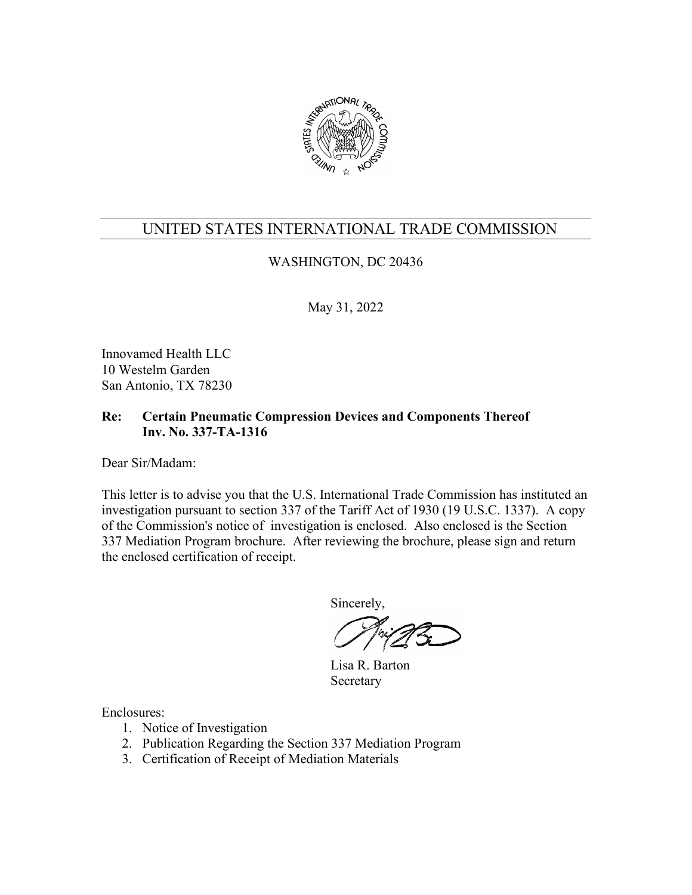

## WASHINGTON, DC 20436

May 31, 2022

Innovamed Health LLC 10 Westelm Garden San Antonio, TX 78230

### **Re: Certain Pneumatic Compression Devices and Components Thereof Inv. No. 337-TA-1316**

Dear Sir/Madam:

This letter is to advise you that the U.S. International Trade Commission has instituted an investigation pursuant to section 337 of the Tariff Act of 1930 (19 U.S.C. 1337). A copy of the Commission's notice of investigation is enclosed. Also enclosed is the Section 337 Mediation Program brochure. After reviewing the brochure, please sign and return the enclosed certification of receipt.

Sincerely,

 Lisa R. Barton Secretary

- 1. Notice of Investigation
- 2. Publication Regarding the Section 337 Mediation Program
- 3. Certification of Receipt of Mediation Materials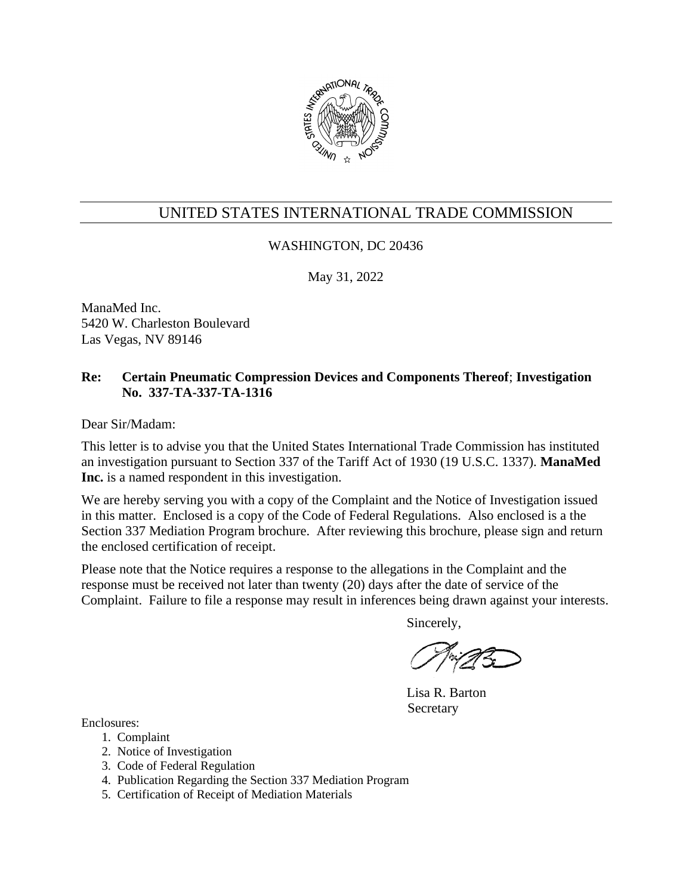

### WASHINGTON, DC 20436

May 31, 2022

ManaMed Inc. 5420 W. Charleston Boulevard Las Vegas, NV 89146

### **Re: Certain Pneumatic Compression Devices and Components Thereof**; **Investigation No. 337-TA-337-TA-1316**

Dear Sir/Madam:

This letter is to advise you that the United States International Trade Commission has instituted an investigation pursuant to Section 337 of the Tariff Act of 1930 (19 U.S.C. 1337). **ManaMed Inc.** is a named respondent in this investigation.

We are hereby serving you with a copy of the Complaint and the Notice of Investigation issued in this matter. Enclosed is a copy of the Code of Federal Regulations. Also enclosed is a the Section 337 Mediation Program brochure. After reviewing this brochure, please sign and return the enclosed certification of receipt.

Please note that the Notice requires a response to the allegations in the Complaint and the response must be received not later than twenty (20) days after the date of service of the Complaint. Failure to file a response may result in inferences being drawn against your interests.

Sincerely,

Lisa R. Barton Secretary

- 1. Complaint
- 2. Notice of Investigation
- 3. Code of Federal Regulation
- 4. Publication Regarding the Section 337 Mediation Program
- 5. Certification of Receipt of Mediation Materials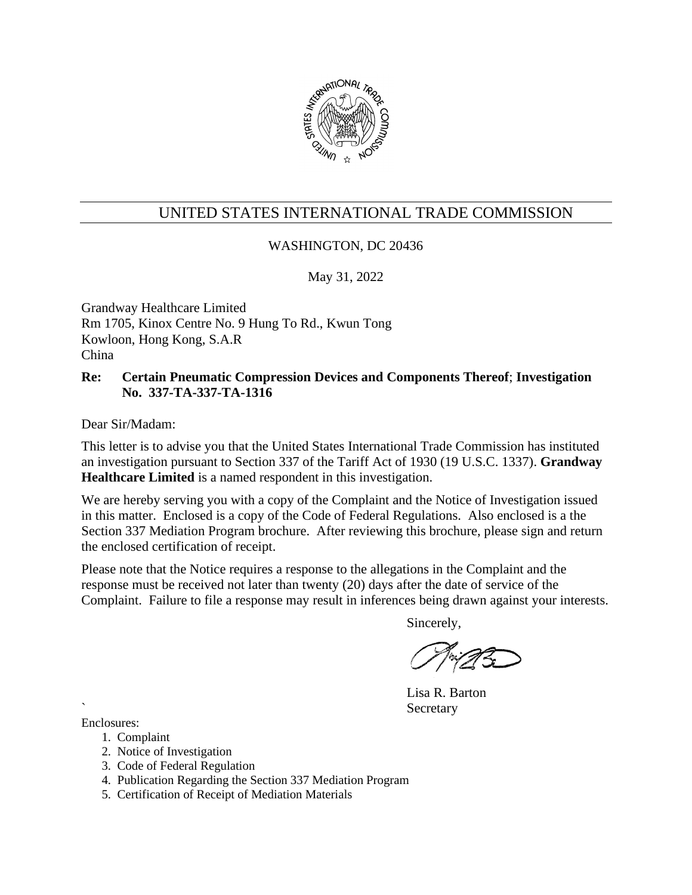

### WASHINGTON, DC 20436

May 31, 2022

Grandway Healthcare Limited Rm 1705, Kinox Centre No. 9 Hung To Rd., Kwun Tong Kowloon, Hong Kong, S.A.R China

#### **Re: Certain Pneumatic Compression Devices and Components Thereof**; **Investigation No. 337-TA-337-TA-1316**

Dear Sir/Madam:

This letter is to advise you that the United States International Trade Commission has instituted an investigation pursuant to Section 337 of the Tariff Act of 1930 (19 U.S.C. 1337). **Grandway Healthcare Limited** is a named respondent in this investigation.

We are hereby serving you with a copy of the Complaint and the Notice of Investigation issued in this matter. Enclosed is a copy of the Code of Federal Regulations. Also enclosed is a the Section 337 Mediation Program brochure. After reviewing this brochure, please sign and return the enclosed certification of receipt.

Please note that the Notice requires a response to the allegations in the Complaint and the response must be received not later than twenty (20) days after the date of service of the Complaint. Failure to file a response may result in inferences being drawn against your interests.

Sincerely,

Lisa R. Barton **Secretary** 

- 1. Complaint
- 2. Notice of Investigation
- 3. Code of Federal Regulation
- 4. Publication Regarding the Section 337 Mediation Program
- 5. Certification of Receipt of Mediation Materials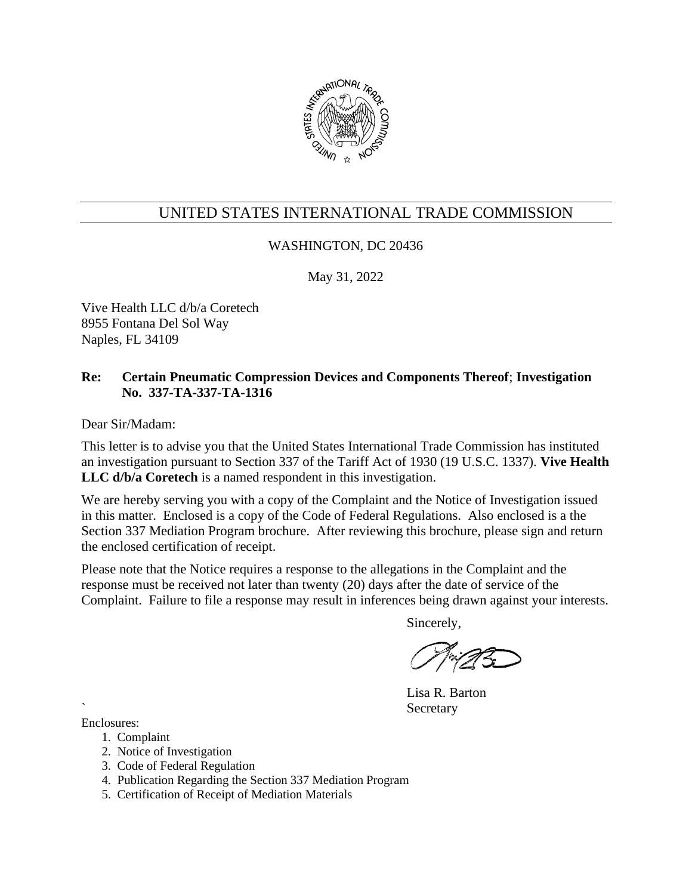

### WASHINGTON, DC 20436

May 31, 2022

Vive Health LLC d/b/a Coretech 8955 Fontana Del Sol Way Naples, FL 34109

### **Re: Certain Pneumatic Compression Devices and Components Thereof**; **Investigation No. 337-TA-337-TA-1316**

Dear Sir/Madam:

This letter is to advise you that the United States International Trade Commission has instituted an investigation pursuant to Section 337 of the Tariff Act of 1930 (19 U.S.C. 1337). **Vive Health LLC d/b/a Coretech** is a named respondent in this investigation.

We are hereby serving you with a copy of the Complaint and the Notice of Investigation issued in this matter. Enclosed is a copy of the Code of Federal Regulations. Also enclosed is a the Section 337 Mediation Program brochure. After reviewing this brochure, please sign and return the enclosed certification of receipt.

Please note that the Notice requires a response to the allegations in the Complaint and the response must be received not later than twenty (20) days after the date of service of the Complaint. Failure to file a response may result in inferences being drawn against your interests.

Sincerely,

Lisa R. Barton **Secretary** 

- 1. Complaint
- 2. Notice of Investigation
- 3. Code of Federal Regulation
- 4. Publication Regarding the Section 337 Mediation Program
- 5. Certification of Receipt of Mediation Materials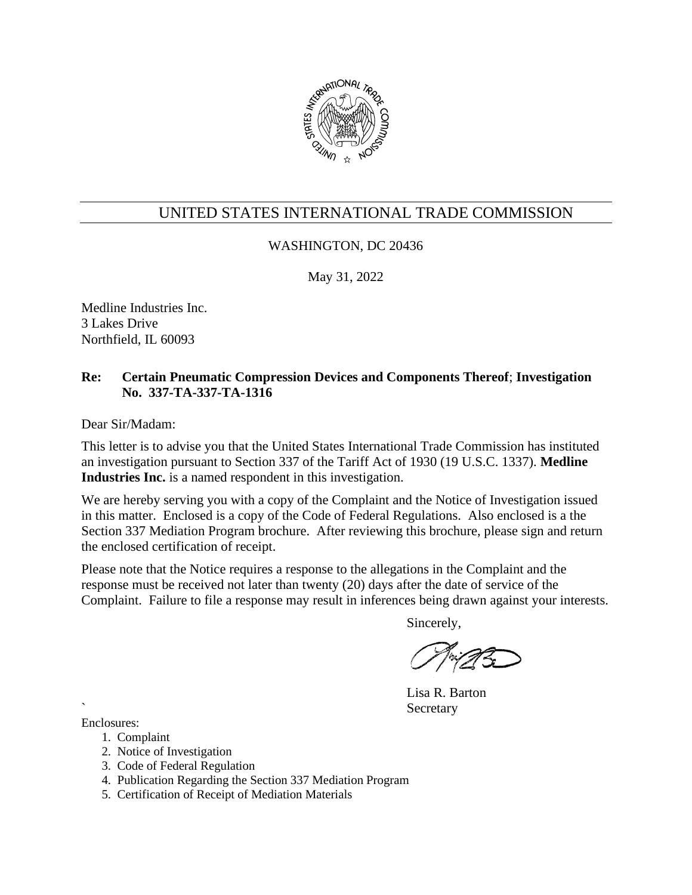

### WASHINGTON, DC 20436

May 31, 2022

Medline Industries Inc. 3 Lakes Drive Northfield, IL 60093

### **Re: Certain Pneumatic Compression Devices and Components Thereof**; **Investigation No. 337-TA-337-TA-1316**

Dear Sir/Madam:

This letter is to advise you that the United States International Trade Commission has instituted an investigation pursuant to Section 337 of the Tariff Act of 1930 (19 U.S.C. 1337). **Medline Industries Inc.** is a named respondent in this investigation.

We are hereby serving you with a copy of the Complaint and the Notice of Investigation issued in this matter. Enclosed is a copy of the Code of Federal Regulations. Also enclosed is a the Section 337 Mediation Program brochure. After reviewing this brochure, please sign and return the enclosed certification of receipt.

Please note that the Notice requires a response to the allegations in the Complaint and the response must be received not later than twenty (20) days after the date of service of the Complaint. Failure to file a response may result in inferences being drawn against your interests.

Sincerely,

Lisa R. Barton **Secretary** 

- 1. Complaint
- 2. Notice of Investigation
- 3. Code of Federal Regulation
- 4. Publication Regarding the Section 337 Mediation Program
- 5. Certification of Receipt of Mediation Materials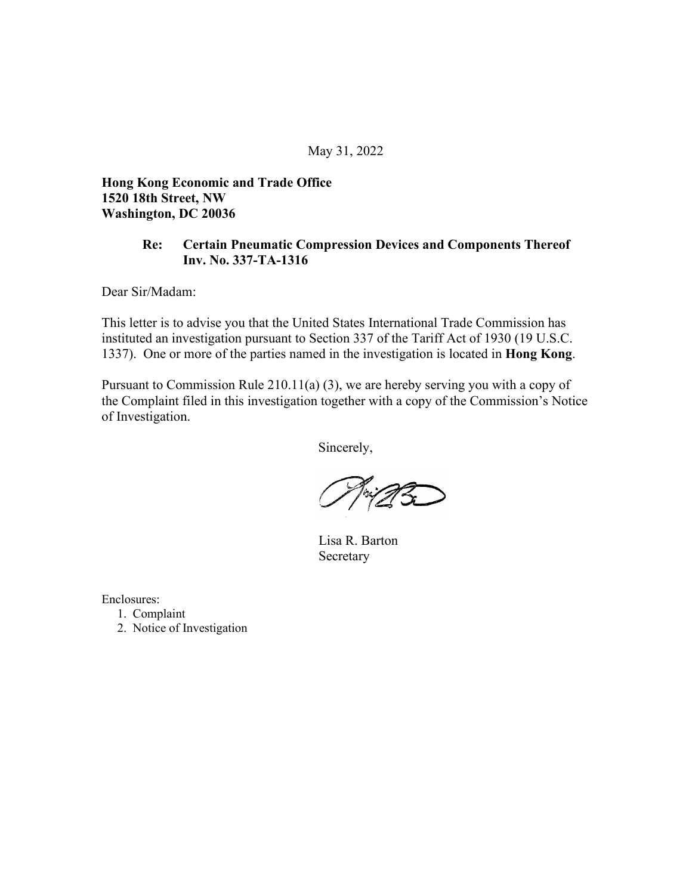**Hong Kong Economic and Trade Office 1520 18th Street, NW Washington, DC 20036**

#### **Re: Certain Pneumatic Compression Devices and Components Thereof Inv. No. 337-TA-1316**

Dear Sir/Madam:

This letter is to advise you that the United States International Trade Commission has instituted an investigation pursuant to Section 337 of the Tariff Act of 1930 (19 U.S.C. 1337). One or more of the parties named in the investigation is located in **Hong Kong**.

Pursuant to Commission Rule 210.11(a) (3), we are hereby serving you with a copy of the Complaint filed in this investigation together with a copy of the Commission's Notice of Investigation.

Sincerely,

 Lisa R. Barton Secretary

- 1. Complaint
- 2. Notice of Investigation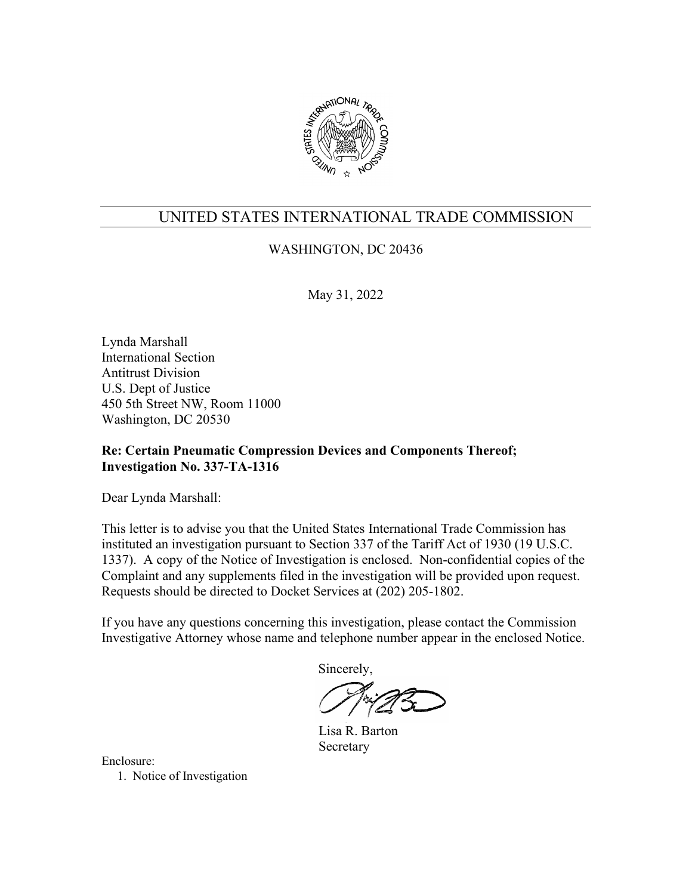

## WASHINGTON, DC 20436

May 31, 2022

Lynda Marshall International Section Antitrust Division U.S. Dept of Justice 450 5th Street NW, Room 11000 Washington, DC 20530

## **Re: Certain Pneumatic Compression Devices and Components Thereof; Investigation No. 337-TA-1316**

Dear Lynda Marshall:

This letter is to advise you that the United States International Trade Commission has instituted an investigation pursuant to Section 337 of the Tariff Act of 1930 (19 U.S.C. 1337). A copy of the Notice of Investigation is enclosed. Non-confidential copies of the Complaint and any supplements filed in the investigation will be provided upon request. Requests should be directed to Docket Services at (202) 205-1802.

If you have any questions concerning this investigation, please contact the Commission Investigative Attorney whose name and telephone number appear in the enclosed Notice.

Sincerely,

 Lisa R. Barton Secretary

Enclosure: 1. Notice of Investigation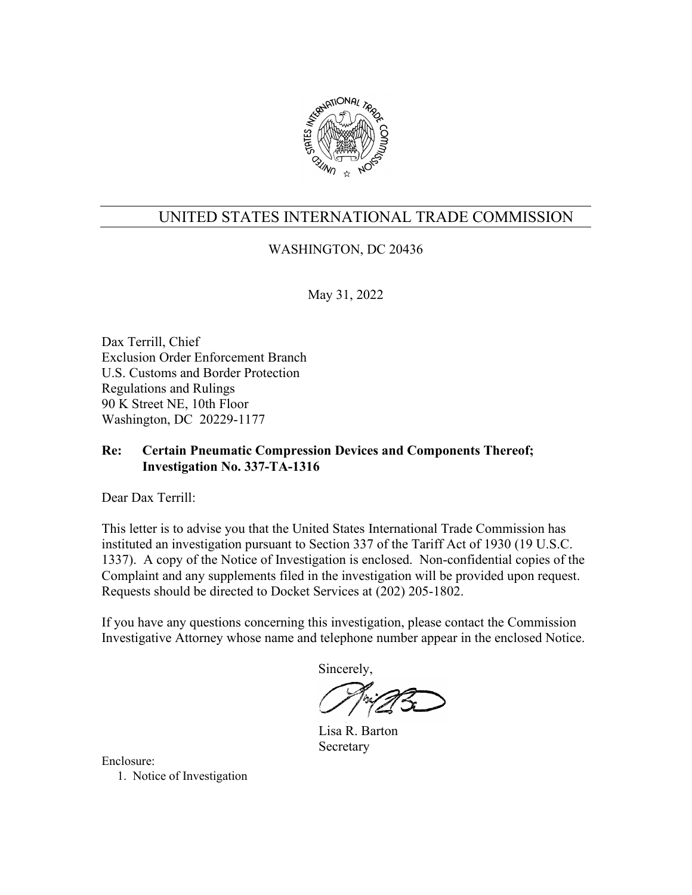

## WASHINGTON, DC 20436

May 31, 2022

Dax Terrill, Chief Exclusion Order Enforcement Branch U.S. Customs and Border Protection Regulations and Rulings 90 K Street NE, 10th Floor Washington, DC 20229-1177

## **Re: Certain Pneumatic Compression Devices and Components Thereof; Investigation No. 337-TA-1316**

Dear Dax Terrill:

This letter is to advise you that the United States International Trade Commission has instituted an investigation pursuant to Section 337 of the Tariff Act of 1930 (19 U.S.C. 1337). A copy of the Notice of Investigation is enclosed. Non-confidential copies of the Complaint and any supplements filed in the investigation will be provided upon request. Requests should be directed to Docket Services at (202) 205-1802.

If you have any questions concerning this investigation, please contact the Commission Investigative Attorney whose name and telephone number appear in the enclosed Notice.

Sincerely,

 Lisa R. Barton Secretary

Enclosure: 1. Notice of Investigation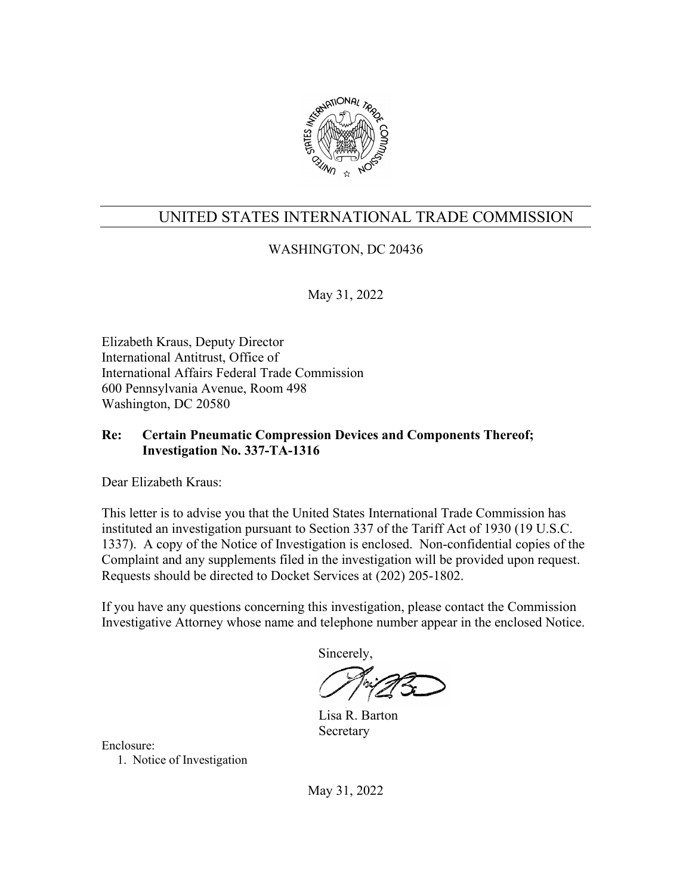

## WASHINGTON, DC 20436

May 31, 2022

Elizabeth Kraus, Deputy Director International Antitrust, Office of International Affairs Federal Trade Commission 600 Pennsylvania Avenue, Room 498 Washington, DC 20580

### **Re: Certain Pneumatic Compression Devices and Components Thereof; Investigation No. 337-TA-1316**

Dear Elizabeth Kraus:

This letter is to advise you that the United States International Trade Commission has instituted an investigation pursuant to Section 337 of the Tariff Act of 1930 (19 U.S.C. 1337). A copy of the Notice of Investigation is enclosed. Non-confidential copies of the Complaint and any supplements filed in the investigation will be provided upon request. Requests should be directed to Docket Services at (202) 205-1802.

If you have any questions concerning this investigation, please contact the Commission Investigative Attorney whose name and telephone number appear in the enclosed Notice.

Sincerely,

 Lisa R. Barton Secretary

Enclosure:

1. Notice of Investigation

May 31, 2022